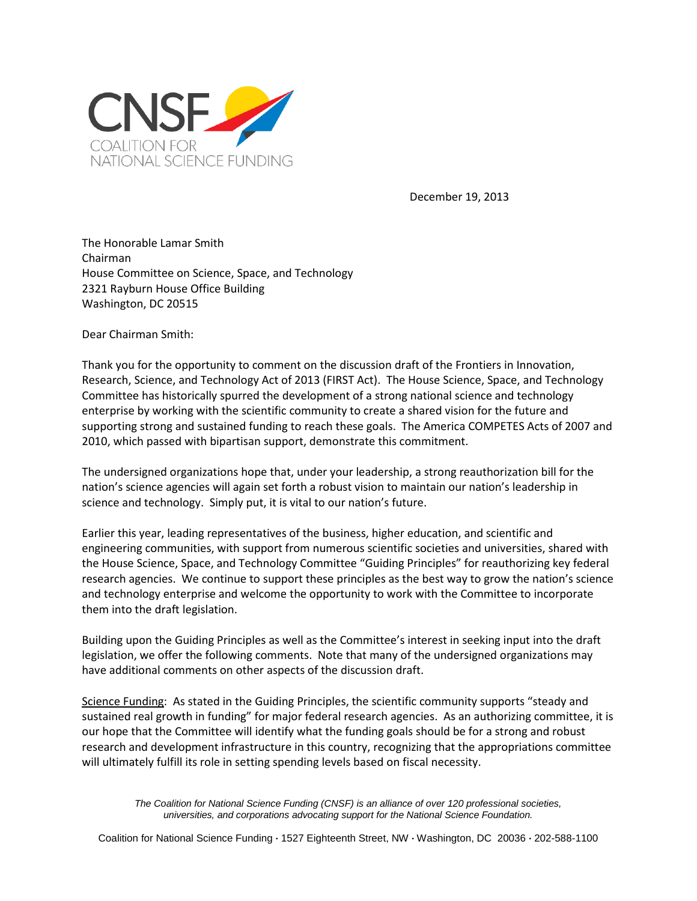

December 19, 2013

The Honorable Lamar Smith Chairman House Committee on Science, Space, and Technology 2321 Rayburn House Office Building Washington, DC 20515

Dear Chairman Smith:

Thank you for the opportunity to comment on the discussion draft of the Frontiers in Innovation, Research, Science, and Technology Act of 2013 (FIRST Act). The House Science, Space, and Technology Committee has historically spurred the development of a strong national science and technology enterprise by working with the scientific community to create a shared vision for the future and supporting strong and sustained funding to reach these goals. The America COMPETES Acts of 2007 and 2010, which passed with bipartisan support, demonstrate this commitment.

The undersigned organizations hope that, under your leadership, a strong reauthorization bill for the nation's science agencies will again set forth a robust vision to maintain our nation's leadership in science and technology. Simply put, it is vital to our nation's future.

Earlier this year, leading representatives of the business, higher education, and scientific and engineering communities, with support from numerous scientific societies and universities, shared with the House Science, Space, and Technology Committee "Guiding Principles" for reauthorizing key federal research agencies. We continue to support these principles as the best way to grow the nation's science and technology enterprise and welcome the opportunity to work with the Committee to incorporate them into the draft legislation.

Building upon the Guiding Principles as well as the Committee's interest in seeking input into the draft legislation, we offer the following comments. Note that many of the undersigned organizations may have additional comments on other aspects of the discussion draft.

Science Funding: As stated in the Guiding Principles, the scientific community supports "steady and sustained real growth in funding" for major federal research agencies. As an authorizing committee, it is our hope that the Committee will identify what the funding goals should be for a strong and robust research and development infrastructure in this country, recognizing that the appropriations committee will ultimately fulfill its role in setting spending levels based on fiscal necessity.

> *The Coalition for National Science Funding (CNSF) is an alliance of over 120 professional societies, universities, and corporations advocating support for the National Science Foundation.*

Coalition for National Science Funding **·** 1527 Eighteenth Street, NW **·** Washington, DC 20036 **·** 202-588-1100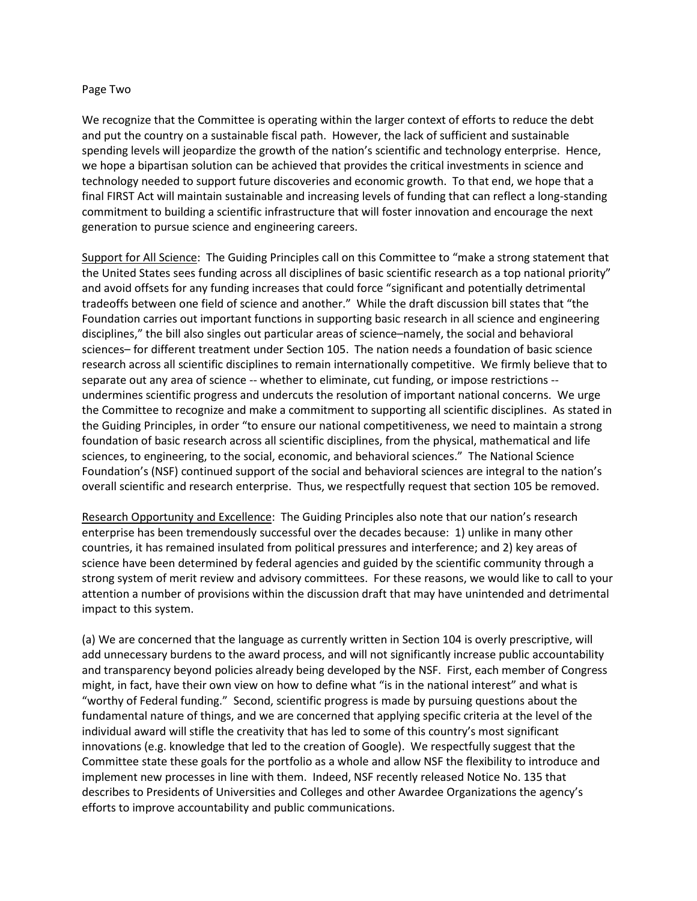## Page Two

We recognize that the Committee is operating within the larger context of efforts to reduce the debt and put the country on a sustainable fiscal path. However, the lack of sufficient and sustainable spending levels will jeopardize the growth of the nation's scientific and technology enterprise. Hence, we hope a bipartisan solution can be achieved that provides the critical investments in science and technology needed to support future discoveries and economic growth. To that end, we hope that a final FIRST Act will maintain sustainable and increasing levels of funding that can reflect a long-standing commitment to building a scientific infrastructure that will foster innovation and encourage the next generation to pursue science and engineering careers.

Support for All Science: The Guiding Principles call on this Committee to "make a strong statement that the United States sees funding across all disciplines of basic scientific research as a top national priority" and avoid offsets for any funding increases that could force "significant and potentially detrimental tradeoffs between one field of science and another." While the draft discussion bill states that "the Foundation carries out important functions in supporting basic research in all science and engineering disciplines," the bill also singles out particular areas of science–namely, the social and behavioral sciences– for different treatment under Section 105. The nation needs a foundation of basic science research across all scientific disciplines to remain internationally competitive. We firmly believe that to separate out any area of science -- whether to eliminate, cut funding, or impose restrictions - undermines scientific progress and undercuts the resolution of important national concerns. We urge the Committee to recognize and make a commitment to supporting all scientific disciplines. As stated in the Guiding Principles, in order "to ensure our national competitiveness, we need to maintain a strong foundation of basic research across all scientific disciplines, from the physical, mathematical and life sciences, to engineering, to the social, economic, and behavioral sciences." The National Science Foundation's (NSF) continued support of the social and behavioral sciences are integral to the nation's overall scientific and research enterprise. Thus, we respectfully request that section 105 be removed.

Research Opportunity and Excellence: The Guiding Principles also note that our nation's research enterprise has been tremendously successful over the decades because: 1) unlike in many other countries, it has remained insulated from political pressures and interference; and 2) key areas of science have been determined by federal agencies and guided by the scientific community through a strong system of merit review and advisory committees. For these reasons, we would like to call to your attention a number of provisions within the discussion draft that may have unintended and detrimental impact to this system.

(a) We are concerned that the language as currently written in Section 104 is overly prescriptive, will add unnecessary burdens to the award process, and will not significantly increase public accountability and transparency beyond policies already being developed by the NSF. First, each member of Congress might, in fact, have their own view on how to define what "is in the national interest" and what is "worthy of Federal funding." Second, scientific progress is made by pursuing questions about the fundamental nature of things, and we are concerned that applying specific criteria at the level of the individual award will stifle the creativity that has led to some of this country's most significant innovations (e.g. knowledge that led to the creation of Google). We respectfully suggest that the Committee state these goals for the portfolio as a whole and allow NSF the flexibility to introduce and implement new processes in line with them. Indeed, NSF recently released Notice No. 135 that describes to Presidents of Universities and Colleges and other Awardee Organizations the agency's efforts to improve accountability and public communications.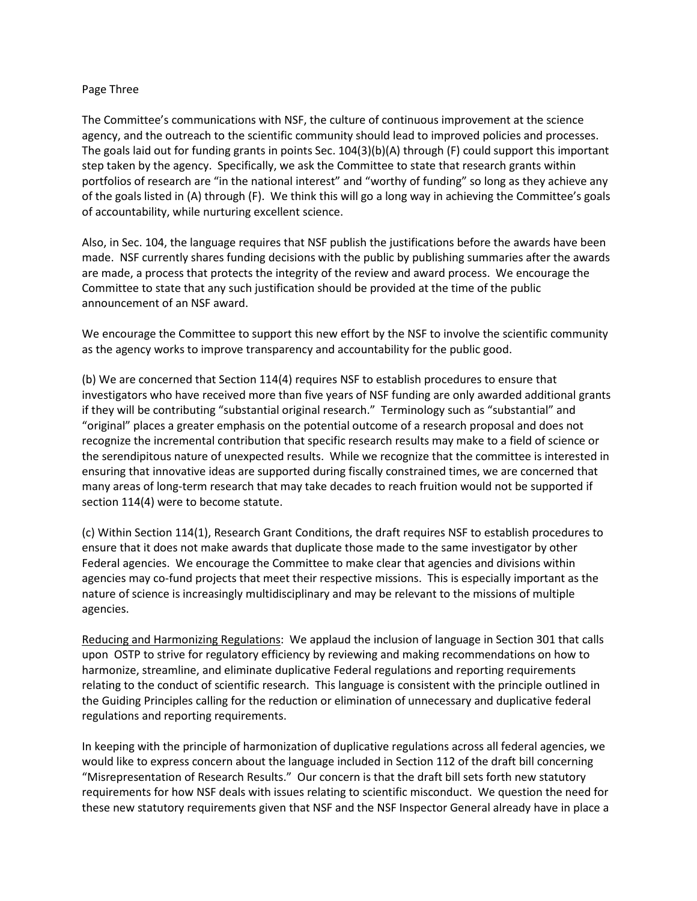## Page Three

The Committee's communications with NSF, the culture of continuous improvement at the science agency, and the outreach to the scientific community should lead to improved policies and processes. The goals laid out for funding grants in points Sec. 104(3)(b)(A) through (F) could support this important step taken by the agency. Specifically, we ask the Committee to state that research grants within portfolios of research are "in the national interest" and "worthy of funding" so long as they achieve any of the goals listed in (A) through (F). We think this will go a long way in achieving the Committee's goals of accountability, while nurturing excellent science.

Also, in Sec. 104, the language requires that NSF publish the justifications before the awards have been made. NSF currently shares funding decisions with the public by publishing summaries after the awards are made, a process that protects the integrity of the review and award process. We encourage the Committee to state that any such justification should be provided at the time of the public announcement of an NSF award.

We encourage the Committee to support this new effort by the NSF to involve the scientific community as the agency works to improve transparency and accountability for the public good.

(b) We are concerned that Section 114(4) requires NSF to establish procedures to ensure that investigators who have received more than five years of NSF funding are only awarded additional grants if they will be contributing "substantial original research." Terminology such as "substantial" and "original" places a greater emphasis on the potential outcome of a research proposal and does not recognize the incremental contribution that specific research results may make to a field of science or the serendipitous nature of unexpected results. While we recognize that the committee is interested in ensuring that innovative ideas are supported during fiscally constrained times, we are concerned that many areas of long-term research that may take decades to reach fruition would not be supported if section 114(4) were to become statute.

(c) Within Section 114(1), Research Grant Conditions, the draft requires NSF to establish procedures to ensure that it does not make awards that duplicate those made to the same investigator by other Federal agencies. We encourage the Committee to make clear that agencies and divisions within agencies may co-fund projects that meet their respective missions. This is especially important as the nature of science is increasingly multidisciplinary and may be relevant to the missions of multiple agencies.

Reducing and Harmonizing Regulations: We applaud the inclusion of language in Section 301 that calls upon OSTP to strive for regulatory efficiency by reviewing and making recommendations on how to harmonize, streamline, and eliminate duplicative Federal regulations and reporting requirements relating to the conduct of scientific research. This language is consistent with the principle outlined in the Guiding Principles calling for the reduction or elimination of unnecessary and duplicative federal regulations and reporting requirements.

In keeping with the principle of harmonization of duplicative regulations across all federal agencies, we would like to express concern about the language included in Section 112 of the draft bill concerning "Misrepresentation of Research Results." Our concern is that the draft bill sets forth new statutory requirements for how NSF deals with issues relating to scientific misconduct. We question the need for these new statutory requirements given that NSF and the NSF Inspector General already have in place a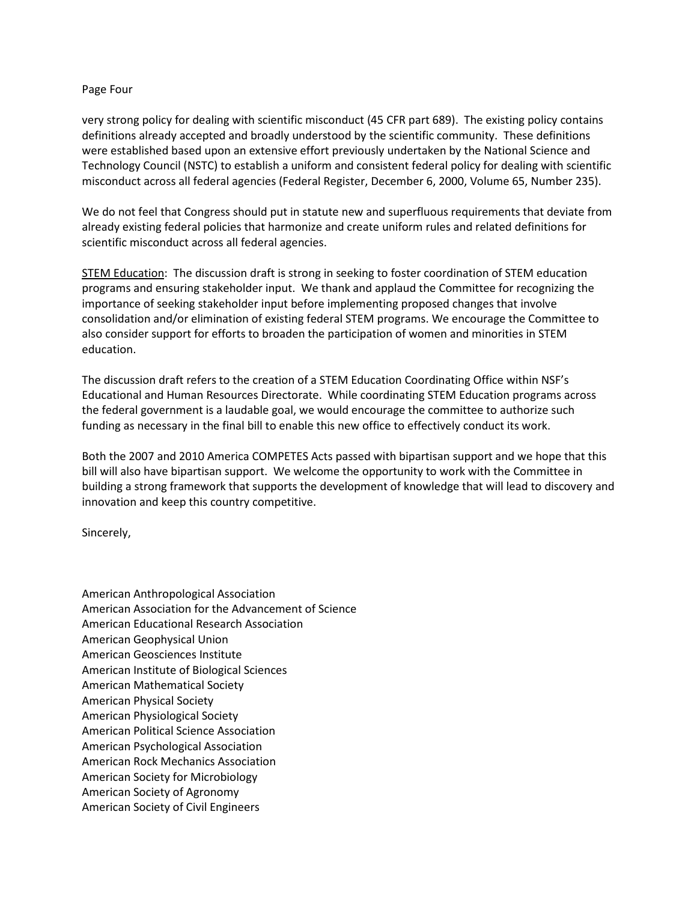## Page Four

very strong policy for dealing with scientific misconduct (45 CFR part 689). The existing policy contains definitions already accepted and broadly understood by the scientific community. These definitions were established based upon an extensive effort previously undertaken by the National Science and Technology Council (NSTC) to establish a uniform and consistent federal policy for dealing with scientific misconduct across all federal agencies (Federal Register, December 6, 2000, Volume 65, Number 235).

We do not feel that Congress should put in statute new and superfluous requirements that deviate from already existing federal policies that harmonize and create uniform rules and related definitions for scientific misconduct across all federal agencies.

STEM Education: The discussion draft is strong in seeking to foster coordination of STEM education programs and ensuring stakeholder input. We thank and applaud the Committee for recognizing the importance of seeking stakeholder input before implementing proposed changes that involve consolidation and/or elimination of existing federal STEM programs. We encourage the Committee to also consider support for efforts to broaden the participation of women and minorities in STEM education.

The discussion draft refers to the creation of a STEM Education Coordinating Office within NSF's Educational and Human Resources Directorate. While coordinating STEM Education programs across the federal government is a laudable goal, we would encourage the committee to authorize such funding as necessary in the final bill to enable this new office to effectively conduct its work.

Both the 2007 and 2010 America COMPETES Acts passed with bipartisan support and we hope that this bill will also have bipartisan support. We welcome the opportunity to work with the Committee in building a strong framework that supports the development of knowledge that will lead to discovery and innovation and keep this country competitive.

Sincerely,

American Anthropological Association American Association for the Advancement of Science American Educational Research Association American Geophysical Union American Geosciences Institute American Institute of Biological Sciences American Mathematical Society American Physical Society American Physiological Society American Political Science Association American Psychological Association American Rock Mechanics Association American Society for Microbiology American Society of Agronomy American Society of Civil Engineers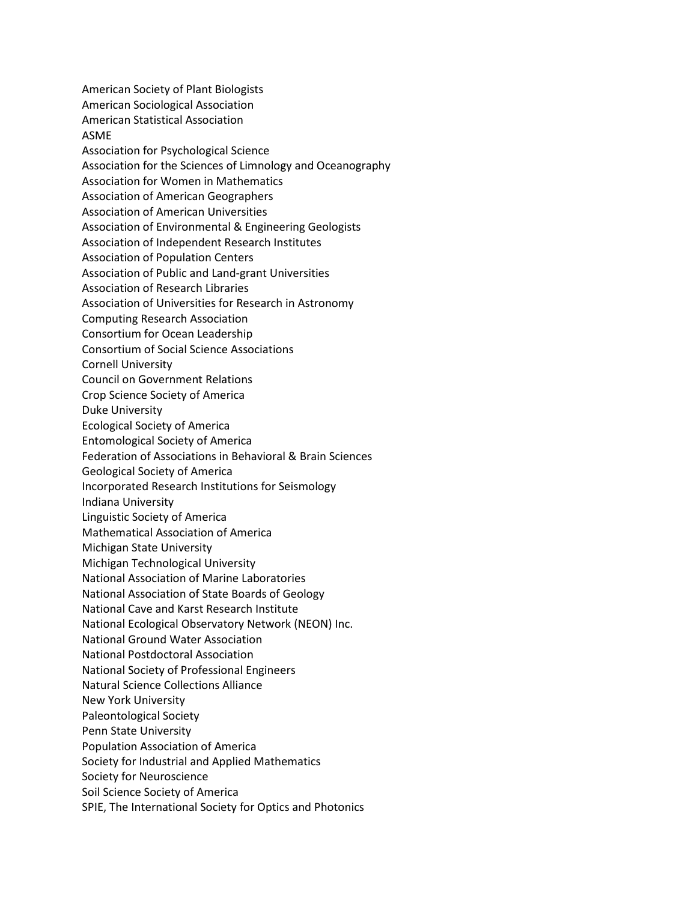American Society of Plant Biologists American Sociological Association American Statistical Association ASME Association for Psychological Science Association for the Sciences of Limnology and Oceanography Association for Women in Mathematics Association of American Geographers Association of American Universities Association of Environmental & Engineering Geologists Association of Independent Research Institutes Association of Population Centers Association of Public and Land-grant Universities Association of Research Libraries Association of Universities for Research in Astronomy Computing Research Association Consortium for Ocean Leadership Consortium of Social Science Associations Cornell University Council on Government Relations Crop Science Society of America Duke University Ecological Society of America Entomological Society of America Federation of Associations in Behavioral & Brain Sciences Geological Society of America Incorporated Research Institutions for Seismology Indiana University Linguistic Society of America Mathematical Association of America Michigan State University Michigan Technological University National Association of Marine Laboratories National Association of State Boards of Geology National Cave and Karst Research Institute National Ecological Observatory Network (NEON) Inc. National Ground Water Association National Postdoctoral Association National Society of Professional Engineers Natural Science Collections Alliance New York University Paleontological Society Penn State University Population Association of America Society for Industrial and Applied Mathematics Society for Neuroscience Soil Science Society of America SPIE, The International Society for Optics and Photonics